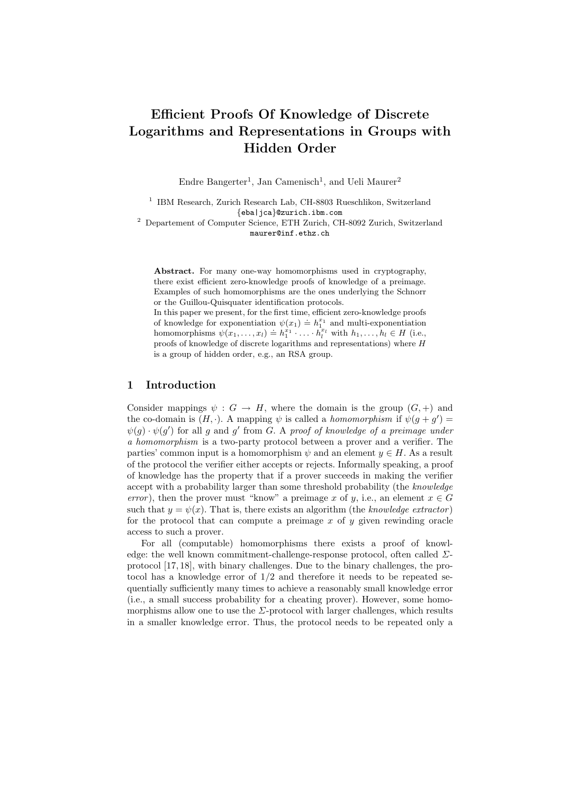# Efficient Proofs Of Knowledge of Discrete Logarithms and Representations in Groups with Hidden Order

Endre Bangerter<sup>1</sup>, Jan Camenisch<sup>1</sup>, and Ueli Maurer<sup>2</sup>

<sup>1</sup> IBM Research, Zurich Research Lab, CH-8803 Rueschlikon, Switzerland {eba|jca}@zurich.ibm.com

<sup>2</sup> Departement of Computer Science, ETH Zurich, CH-8092 Zurich, Switzerland maurer@inf.ethz.ch

Abstract. For many one-way homomorphisms used in cryptography, there exist efficient zero-knowledge proofs of knowledge of a preimage. Examples of such homomorphisms are the ones underlying the Schnorr or the Guillou-Quisquater identification protocols.

In this paper we present, for the first time, efficient zero-knowledge proofs of knowledge for exponentiation  $\psi(x_1) \doteq h_1^{x_1}$  and multi-exponentiation homomorphisms  $\psi(x_1, \ldots, x_l) \doteq h_1^{x_1} \cdot \ldots \cdot h_l^{x_l}$  with  $h_1, \ldots, h_l \in H$  (i.e., proofs of knowledge of discrete logarithms and representations) where H is a group of hidden order, e.g., an RSA group.

## 1 Introduction

Consider mappings  $\psi : G \to H$ , where the domain is the group  $(G, +)$  and the co-domain is  $(H, \cdot)$ . A mapping  $\psi$  is called a *homomorphism* if  $\psi(g + g') =$  $\psi(g) \cdot \psi(g')$  for all g and g' from G. A proof of knowledge of a preimage under a homomorphism is a two-party protocol between a prover and a verifier. The parties' common input is a homomorphism  $\psi$  and an element  $y \in H$ . As a result of the protocol the verifier either accepts or rejects. Informally speaking, a proof of knowledge has the property that if a prover succeeds in making the verifier accept with a probability larger than some threshold probability (the knowledge error), then the prover must "know" a preimage x of y, i.e., an element  $x \in G$ such that  $y = \psi(x)$ . That is, there exists an algorithm (the knowledge extractor) for the protocol that can compute a preimage  $x$  of  $y$  given rewinding oracle access to such a prover.

For all (computable) homomorphisms there exists a proof of knowledge: the well known commitment-challenge-response protocol, often called  $\Sigma$ protocol [17, 18], with binary challenges. Due to the binary challenges, the protocol has a knowledge error of  $1/2$  and therefore it needs to be repeated sequentially sufficiently many times to achieve a reasonably small knowledge error (i.e., a small success probability for a cheating prover). However, some homomorphisms allow one to use the  $\Sigma$ -protocol with larger challenges, which results in a smaller knowledge error. Thus, the protocol needs to be repeated only a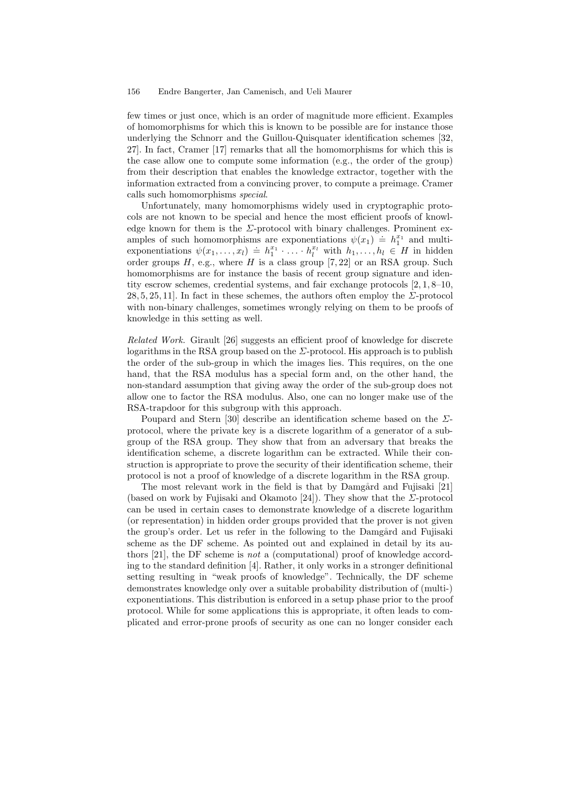few times or just once, which is an order of magnitude more efficient. Examples of homomorphisms for which this is known to be possible are for instance those underlying the Schnorr and the Guillou-Quisquater identification schemes [32, 27]. In fact, Cramer [17] remarks that all the homomorphisms for which this is the case allow one to compute some information (e.g., the order of the group) from their description that enables the knowledge extractor, together with the information extracted from a convincing prover, to compute a preimage. Cramer calls such homomorphisms special.

Unfortunately, many homomorphisms widely used in cryptographic protocols are not known to be special and hence the most efficient proofs of knowledge known for them is the  $\Sigma$ -protocol with binary challenges. Prominent examples of such homomorphisms are exponentiations  $\psi(x_1) \doteq h_1^{x_1}$  and multiexponentiations  $\psi(x_1, \ldots, x_l) \doteq h_1^{x_1} \cdot \ldots \cdot h_l^{x_l}$  with  $h_1, \ldots, h_l \in H$  in hidden order groups  $H$ , e.g., where  $H$  is a class group [7,22] or an RSA group. Such homomorphisms are for instance the basis of recent group signature and identity escrow schemes, credential systems, and fair exchange protocols [2, 1, 8–10, 28, 5, 25, 11. In fact in these schemes, the authors often employ the  $\Sigma$ -protocol with non-binary challenges, sometimes wrongly relying on them to be proofs of knowledge in this setting as well.

Related Work. Girault [26] suggests an efficient proof of knowledge for discrete logarithms in the RSA group based on the  $\Sigma$ -protocol. His approach is to publish the order of the sub-group in which the images lies. This requires, on the one hand, that the RSA modulus has a special form and, on the other hand, the non-standard assumption that giving away the order of the sub-group does not allow one to factor the RSA modulus. Also, one can no longer make use of the RSA-trapdoor for this subgroup with this approach.

Poupard and Stern [30] describe an identification scheme based on the  $\Sigma$ protocol, where the private key is a discrete logarithm of a generator of a subgroup of the RSA group. They show that from an adversary that breaks the identification scheme, a discrete logarithm can be extracted. While their construction is appropriate to prove the security of their identification scheme, their protocol is not a proof of knowledge of a discrete logarithm in the RSA group.

The most relevant work in the field is that by Damgård and Fujisaki [21] (based on work by Fujisaki and Okamoto [24]). They show that the  $\Sigma$ -protocol can be used in certain cases to demonstrate knowledge of a discrete logarithm (or representation) in hidden order groups provided that the prover is not given the group's order. Let us refer in the following to the Damgård and Fujisaki scheme as the DF scheme. As pointed out and explained in detail by its authors [21], the DF scheme is not a (computational) proof of knowledge according to the standard definition [4]. Rather, it only works in a stronger definitional setting resulting in "weak proofs of knowledge". Technically, the DF scheme demonstrates knowledge only over a suitable probability distribution of (multi-) exponentiations. This distribution is enforced in a setup phase prior to the proof protocol. While for some applications this is appropriate, it often leads to complicated and error-prone proofs of security as one can no longer consider each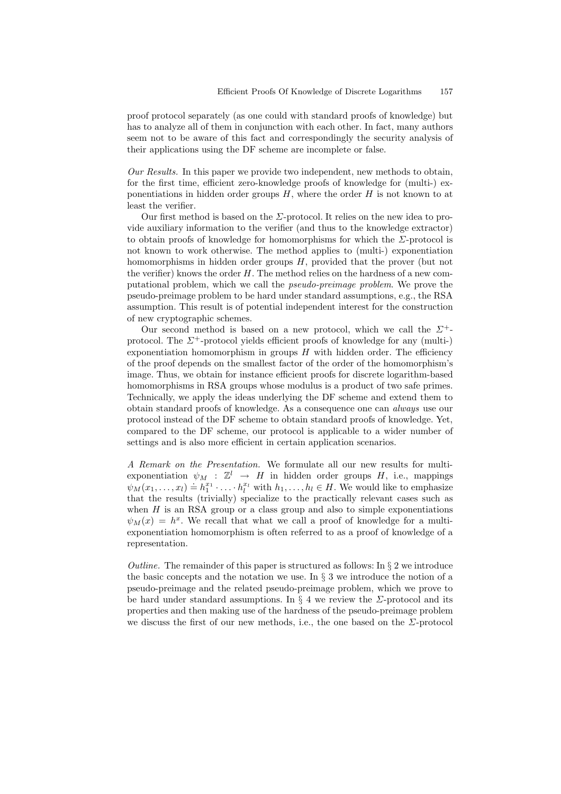proof protocol separately (as one could with standard proofs of knowledge) but has to analyze all of them in conjunction with each other. In fact, many authors seem not to be aware of this fact and correspondingly the security analysis of their applications using the DF scheme are incomplete or false.

Our Results. In this paper we provide two independent, new methods to obtain, for the first time, efficient zero-knowledge proofs of knowledge for (multi-) exponentiations in hidden order groups  $H$ , where the order  $H$  is not known to at least the verifier.

Our first method is based on the  $\Sigma$ -protocol. It relies on the new idea to provide auxiliary information to the verifier (and thus to the knowledge extractor) to obtain proofs of knowledge for homomorphisms for which the  $\Sigma$ -protocol is not known to work otherwise. The method applies to (multi-) exponentiation homomorphisms in hidden order groups  $H$ , provided that the prover (but not the verifier) knows the order  $H$ . The method relies on the hardness of a new computational problem, which we call the pseudo-preimage problem. We prove the pseudo-preimage problem to be hard under standard assumptions, e.g., the RSA assumption. This result is of potential independent interest for the construction of new cryptographic schemes.

Our second method is based on a new protocol, which we call the  $\Sigma^+$ protocol. The  $\Sigma^+$ -protocol yields efficient proofs of knowledge for any (multi-) exponentiation homomorphism in groups  $H$  with hidden order. The efficiency of the proof depends on the smallest factor of the order of the homomorphism's image. Thus, we obtain for instance efficient proofs for discrete logarithm-based homomorphisms in RSA groups whose modulus is a product of two safe primes. Technically, we apply the ideas underlying the DF scheme and extend them to obtain standard proofs of knowledge. As a consequence one can always use our protocol instead of the DF scheme to obtain standard proofs of knowledge. Yet, compared to the DF scheme, our protocol is applicable to a wider number of settings and is also more efficient in certain application scenarios.

A Remark on the Presentation. We formulate all our new results for multiexponentiation  $\psi_M$  :  $\mathbb{Z}^l \to H$  in hidden order groups H, i.e., mappings  $\psi_M(x_1, \ldots, x_l) \doteq h_1^{x_1} \cdot \ldots \cdot h_l^{x_l}$  with  $h_1, \ldots, h_l \in H$ . We would like to emphasize that the results (trivially) specialize to the practically relevant cases such as when  $H$  is an RSA group or a class group and also to simple exponentiations  $\psi_M(x) = h^x$ . We recall that what we call a proof of knowledge for a multiexponentiation homomorphism is often referred to as a proof of knowledge of a representation.

Outline. The remainder of this paper is structured as follows: In  $\S 2$  we introduce the basic concepts and the notation we use. In  $\S 3$  we introduce the notion of a pseudo-preimage and the related pseudo-preimage problem, which we prove to be hard under standard assumptions. In  $\S$  4 we review the  $\Sigma$ -protocol and its properties and then making use of the hardness of the pseudo-preimage problem we discuss the first of our new methods, i.e., the one based on the  $\Sigma$ -protocol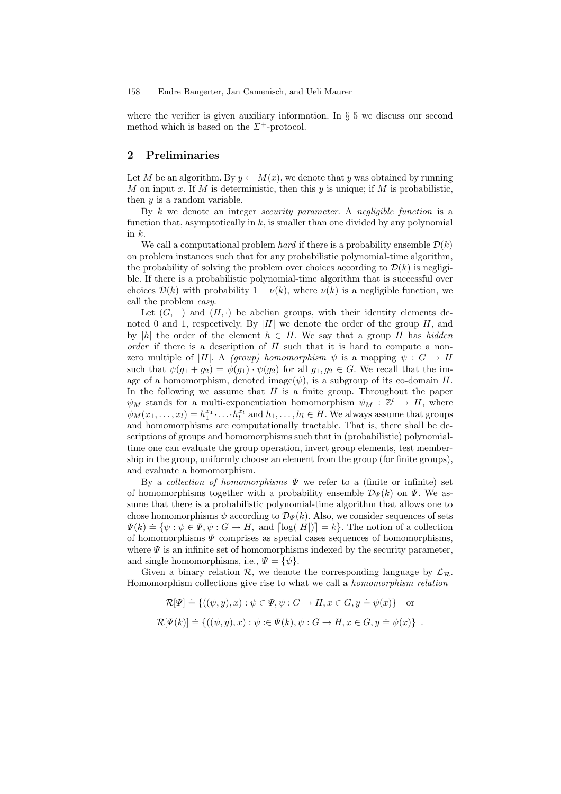where the verifier is given auxiliary information. In  $\S 5$  we discuss our second method which is based on the  $\Sigma^+$ -protocol.

# 2 Preliminaries

Let M be an algorithm. By  $y \leftarrow M(x)$ , we denote that y was obtained by running M on input x. If M is deterministic, then this y is unique; if M is probabilistic, then  $y$  is a random variable.

By  $k$  we denote an integer *security parameter*. A *negligible function* is a function that, asymptotically in  $k$ , is smaller than one divided by any polynomial in  $k$ .

We call a computational problem hard if there is a probability ensemble  $\mathcal{D}(k)$ on problem instances such that for any probabilistic polynomial-time algorithm, the probability of solving the problem over choices according to  $\mathcal{D}(k)$  is negligible. If there is a probabilistic polynomial-time algorithm that is successful over choices  $\mathcal{D}(k)$  with probability  $1 - \nu(k)$ , where  $\nu(k)$  is a negligible function, we call the problem easy.

Let  $(G, +)$  and  $(H, \cdot)$  be abelian groups, with their identity elements denoted 0 and 1, respectively. By |H| we denote the order of the group  $H$ , and by |h| the order of the element  $h \in H$ . We say that a group H has hidden order if there is a description of  $H$  such that it is hard to compute a nonzero multiple of |H|. A (group) homomorphism  $\psi$  is a mapping  $\psi : G \to H$ such that  $\psi(g_1 + g_2) = \psi(g_1) \cdot \psi(g_2)$  for all  $g_1, g_2 \in G$ . We recall that the image of a homomorphism, denoted image( $\psi$ ), is a subgroup of its co-domain H. In the following we assume that  $H$  is a finite group. Throughout the paper  $\psi_M$  stands for a multi-exponentiation homomorphism  $\psi_M : \mathbb{Z}^l \to H$ , where  $\psi_M(x_1,\ldots,x_l) = h_1^{x_1} \cdot \ldots \cdot h_l^{x_l}$  and  $h_1,\ldots,h_l \in H$ . We always assume that groups and homomorphisms are computationally tractable. That is, there shall be descriptions of groups and homomorphisms such that in (probabilistic) polynomialtime one can evaluate the group operation, invert group elements, test membership in the group, uniformly choose an element from the group (for finite groups), and evaluate a homomorphism.

By a collection of homomorphisms  $\Psi$  we refer to a (finite or infinite) set of homomorphisms together with a probability ensemble  $\mathcal{D}_{\Psi}(k)$  on  $\Psi$ . We assume that there is a probabilistic polynomial-time algorithm that allows one to chose homomorphisms  $\psi$  according to  $\mathcal{D}_{\Psi}(k)$ . Also, we consider sequences of sets  $\Psi(k) \doteq \{\psi : \psi \in \Psi, \psi : G \to H, \text{ and } [\log(|H|)] = k\}.$  The notion of a collection of homomorphisms  $\Psi$  comprises as special cases sequences of homomorphisms, where  $\Psi$  is an infinite set of homomorphisms indexed by the security parameter, and single homomorphisms, i.e.,  $\Psi = {\psi}.$ 

Given a binary relation  $\mathcal{R}$ , we denote the corresponding language by  $\mathcal{L}_{\mathcal{R}}$ . Homomorphism collections give rise to what we call a homomorphism relation

$$
\mathcal{R}[\Psi] \doteq \{ ((\psi, y), x) : \psi \in \Psi, \psi : G \to H, x \in G, y \doteq \psi(x) \} \text{ or}
$$
  

$$
\mathcal{R}[\Psi(k)] \doteq \{ ((\psi, y), x) : \psi : \in \Psi(k), \psi : G \to H, x \in G, y \doteq \psi(x) \} .
$$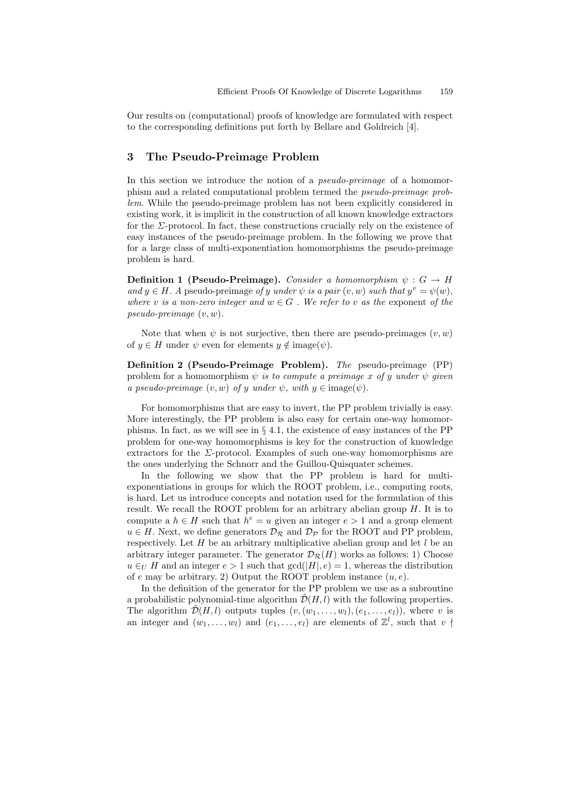Our results on (computational) proofs of knowledge are formulated with respect to the corresponding definitions put forth by Bellare and Goldreich [4].

# 3 The Pseudo-Preimage Problem

In this section we introduce the notion of a pseudo-preimage of a homomorphism and a related computational problem termed the pseudo-preimage problem. While the pseudo-preimage problem has not been explicitly considered in existing work, it is implicit in the construction of all known knowledge extractors for the  $\Sigma$ -protocol. In fact, these constructions crucially rely on the existence of easy instances of the pseudo-preimage problem. In the following we prove that for a large class of multi-exponentiation homomorphisms the pseudo-preimage problem is hard.

**Definition 1 (Pseudo-Preimage).** Consider a homomorphism  $\psi : G \to H$ and  $y \in H$ . A pseudo-preimage of y under  $\psi$  is a pair  $(v, w)$  such that  $y^v = \psi(w)$ , where v is a non-zero integer and  $w \in G$ . We refer to v as the exponent of the pseudo-preimage  $(v, w)$ .

Note that when  $\psi$  is not surjective, then there are pseudo-preimages  $(v, w)$ of  $y \in H$  under  $\psi$  even for elements  $y \notin \text{image}(\psi)$ .

Definition 2 (Pseudo-Preimage Problem). The pseudo-preimage (PP) problem for a homomorphism  $\psi$  is to compute a preimage x of y under  $\psi$  given a pseudo-preimage  $(v, w)$  of y under  $\psi$ , with  $y \in \text{image}(\psi)$ .

For homomorphisms that are easy to invert, the PP problem trivially is easy. More interestingly, the PP problem is also easy for certain one-way homomorphisms. In fact, as we will see in § 4.1, the existence of easy instances of the PP problem for one-way homomorphisms is key for the construction of knowledge extractors for the  $\Sigma$ -protocol. Examples of such one-way homomorphisms are the ones underlying the Schnorr and the Guillou-Quisquater schemes.

In the following we show that the PP problem is hard for multiexponentiations in groups for which the ROOT problem, i.e., computing roots, is hard. Let us introduce concepts and notation used for the formulation of this result. We recall the ROOT problem for an arbitrary abelian group  $H$ . It is to compute a  $h \in H$  such that  $h^e = u$  given an integer  $e > 1$  and a group element  $u \in H$ . Next, we define generators  $\mathcal{D}_R$  and  $\mathcal{D}_P$  for the ROOT and PP problem, respectively. Let  $H$  be an arbitrary multiplicative abelian group and let  $l$  be an arbitrary integer parameter. The generator  $\mathcal{D}_{\mathcal{R}}(H)$  works as follows: 1) Choose  $u \in_{\mathcal{U}} H$  and an integer  $e > 1$  such that  $gcd(|H|, e) = 1$ , whereas the distribution of e may be arbitrary. 2) Output the ROOT problem instance  $(u, e)$ .

In the definition of the generator for the PP problem we use as a subroutine a probabilistic polynomial-time algorithm  $\mathcal{D}(H, l)$  with the following properties. The algorithm  $\mathcal{D}(H, l)$  outputs tuples  $(v,(w_1, \ldots, w_l), (e_1, \ldots, e_l))$ , where v is an integer and  $(w_1, \ldots, w_l)$  and  $(e_1, \ldots, e_l)$  are elements of  $\mathbb{Z}^l$ , such that  $v \nmid$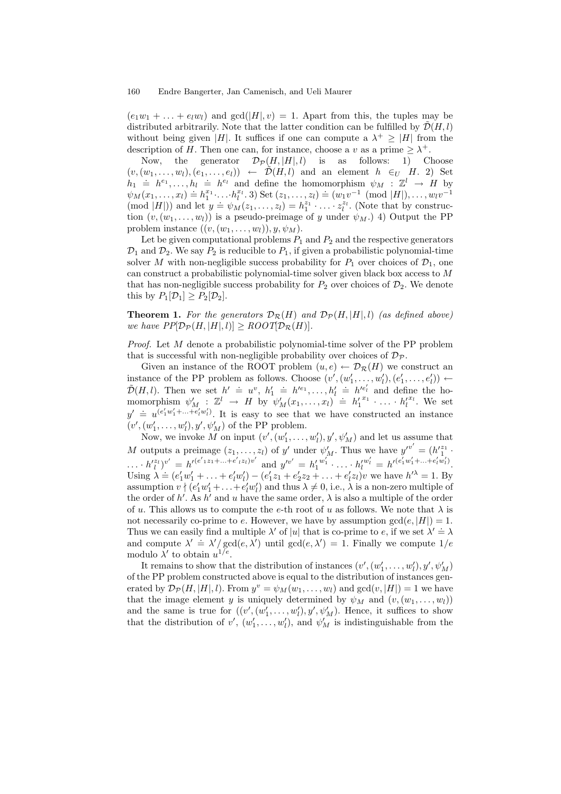$(e_1w_1 + \ldots + e_lw_l)$  and  $gcd(|H|, v) = 1$ . Apart from this, the tuples may be distributed arbitrarily. Note that the latter condition can be fulfilled by  $\mathcal{D}(H, l)$ without being given |H|. It suffices if one can compute a  $\lambda^+ \geq |H|$  from the description of H. Then one can, for instance, choose a v as a prime  $\geq \lambda^+$ .

Now, the generator  $\mathcal{D}_{\mathcal{P}}(H, |H|, l)$  is as follows: 1) Choose  $(v,(w_1,\ldots,w_l),(e_1,\ldots,e_l)) \leftarrow \tilde{\mathcal{D}}(H,l)$  and an element  $h \in_U H$ . 2) Set  $h_1 \doteq h^{e_1}, \ldots, h_l \doteq h^{e_l}$  and define the homomorphism  $\psi_M : \mathbb{Z}^l \to H$  by  $\psi_M(x_1, \ldots, x_l) \doteq h_1^{x_1} \cdots h_l^{x_l} \cdot 3$  Set  $(z_1, \ldots, z_l) \doteq (w_1v^{-1} \pmod{|H|}, \ldots, w_lv^{-1}]$  $(\text{mod } |H|))$  and let  $y = \psi_M(z_1, \ldots, z_l) = h_1^{z_1} \cdot \ldots \cdot z_l^{z_l}$ . (Note that by construction tion  $(v,(w_1,\ldots,w_l))$  is a pseudo-preimage of y under  $\psi_M$ .) 4) Output the PP problem instance  $((v,(w_1,\ldots,w_l)),y,\psi_M)$ .

Let be given computational problems  $P_1$  and  $P_2$  and the respective generators  $\mathcal{D}_1$  and  $\mathcal{D}_2$ . We say  $P_2$  is reducible to  $P_1$ , if given a probabilistic polynomial-time solver M with non-negligible success probability for  $P_1$  over choices of  $\mathcal{D}_1$ , one can construct a probabilistic polynomial-time solver given black box access to M that has non-negligible success probability for  $P_2$  over choices of  $\mathcal{D}_2$ . We denote this by  $P_1[\mathcal{D}_1] \geq P_2[\mathcal{D}_2]$ .

**Theorem 1.** For the generators  $\mathcal{D}_{\mathcal{R}}(H)$  and  $\mathcal{D}_{\mathcal{P}}(H, |H|, l)$  (as defined above) we have  $PP[\mathcal{D}_{\mathcal{P}}(H, |H|, l)] \geq \text{ROOT}[\mathcal{D}_{\mathcal{R}}(H)].$ 

Proof. Let M denote a probabilistic polynomial-time solver of the PP problem that is successful with non-negligible probability over choices of  $\mathcal{D}_{\mathcal{P}}$ .

Given an instance of the ROOT problem  $(u, e) \leftarrow \mathcal{D}_{\mathcal{R}}(H)$  we construct an instance of the PP problem as follows. Choose  $(v', (w'_1, \ldots, w'_l), (e'_1, \ldots, e'_l)) \leftarrow$  $\tilde{\mathcal{D}}(H,l)$ . Then we set  $h' = u^v$ ,  $h'_1 \doteq h'^{e_1}, \ldots, h'_l \doteq h'^{e'_l}$  and define the homomorphism  $\psi'_{M}$ :  $\mathbb{Z}^l \to H$  by  $\psi'_{M}(x_1, \ldots, x_l) = h'_1^{x_1} \cdot \ldots \cdot h_l^{x_l}$ . We set  $y' = u^{(e'_1w'_1 + ... + e'_iw'_l)}$ . It is easy to see that we have constructed an instance  $(v', (w'_1, \ldots, w'_l), y', \psi'_M)$  of the PP problem.

Now, we invoke M on input  $(v', (w'_1, \ldots, w'_l), y', \psi'_M)$  and let us assume that M outputs a preimage  $(z_1, \ldots, z_l)$  of y' under  $\psi'_M$ . Thus we have  $y'^{v'} = (h'^{z_1}_1 \cdot$  $\cdots$   $h_l^{(z_l)}v' = h'(e'_{1}z_1 + \cdots + e'_{l}z_l)v'$  and  $y'^{v'} = h'_1^{v_1'} \cdots h_l^{v_l'} = h'(e_1'w_1' + \cdots + e'_{l}w_l')$ . Using  $\lambda = (e'_1 w'_1 + \ldots + e'_l w'_l) - (e'_1 z_1 + e'_2 z_2 + \ldots + e'_l z_l) v$  we have  $h'^{\lambda} = 1$ . By assumption  $v \nmid (e'_1w'_1 + ... + e'_l w'_l)$  and thus  $\lambda \neq 0$ , i.e.,  $\lambda$  is a non-zero multiple of the order of h'. As h' and u have the same order,  $\lambda$  is also a multiple of the order of u. This allows us to compute the e-th root of u as follows. We note that  $\lambda$  is not necessarily co-prime to e. However, we have by assumption  $gcd(e, |H|) = 1$ . Thus we can easily find a multiple  $\lambda'$  of |u| that is co-prime to e, if we set  $\lambda' \doteq \lambda$ and compute  $\lambda' = \lambda'/\text{gcd}(e, \lambda')$  until  $\text{gcd}(e, \lambda') = 1$ . Finally we compute  $1/e$ modulo  $\lambda'$  to obtain  $u^{1/e}$ .

It remains to show that the distribution of instances  $(v', (w'_1, \ldots, w'_l), y', \psi'_M)$ of the PP problem constructed above is equal to the distribution of instances generated by  $\mathcal{D}_{\mathcal{P}}(H, |H|, l)$ . From  $y^v = \psi_M(w_1, \dots, w_l)$  and  $gcd(v, |H|) = 1$  we have that the image element y is uniquely determined by  $\psi_M$  and  $(v,(w_1,\ldots,w_l))$ and the same is true for  $((v', (w'_1, \ldots, w'_l), y', \psi'_M)$ . Hence, it suffices to show that the distribution of  $v'$ ,  $(w'_1, \ldots, w'_l)$ , and  $\psi'_M$  is indistinguishable from the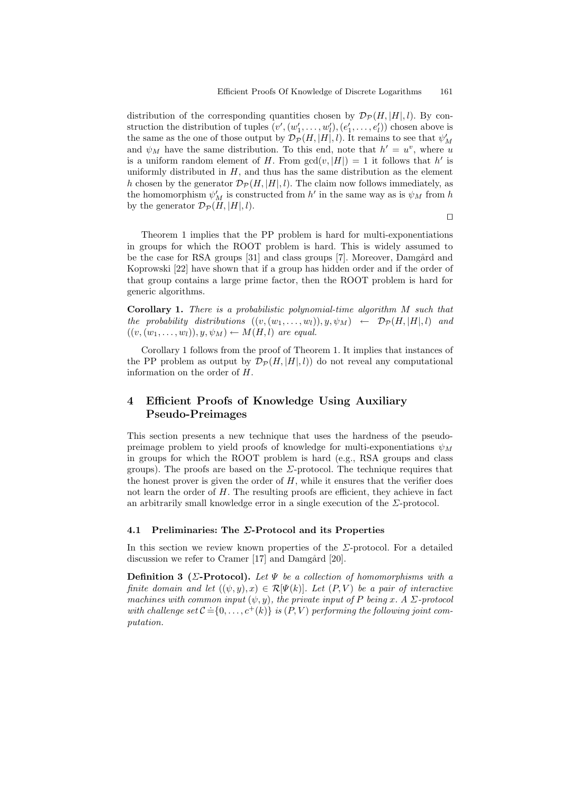distribution of the corresponding quantities chosen by  $\mathcal{D}_{\mathcal{P}}(H, |H|, l)$ . By construction the distribution of tuples  $(v', (w'_1, \ldots, w'_l), (e'_1, \ldots, e'_l))$  chosen above is the same as the one of those output by  $\mathcal{D}_{\mathcal{P}}(H, |H|, l)$ . It remains to see that  $\psi'_{M}$ and  $\psi_M$  have the same distribution. To this end, note that  $h' = u^v$ , where u is a uniform random element of H. From  $gcd(v, |H|) = 1$  it follows that  $h'$  is uniformly distributed in  $H$ , and thus has the same distribution as the element h chosen by the generator  $\mathcal{D}_{\mathcal{P}}(H, |H|, l)$ . The claim now follows immediately, as the homomorphism  $\psi'_{M}$  is constructed from  $h'$  in the same way as is  $\psi_{M}$  from  $h$ by the generator  $\mathcal{D}_{\mathcal{P}}(H, |H|, l)$ .

 $\Box$ 

Theorem 1 implies that the PP problem is hard for multi-exponentiations in groups for which the ROOT problem is hard. This is widely assumed to be the case for RSA groups [31] and class groups [7]. Moreover, Damgård and Koprowski [22] have shown that if a group has hidden order and if the order of that group contains a large prime factor, then the ROOT problem is hard for generic algorithms.

Corollary 1. There is a probabilistic polynomial-time algorithm M such that the probability distributions  $((v,(w_1,\ldots,w_l)),y,\psi_M) \leftarrow \mathcal{D}_{\mathcal{P}}(H,|H|,l)$  and  $((v,(w_1,\ldots,w_l)),y,\psi_M)\leftarrow M(H,l)$  are equal.

Corollary 1 follows from the proof of Theorem 1. It implies that instances of the PP problem as output by  $\mathcal{D}_{\mathcal{P}}(H, |H|, l)$  do not reveal any computational information on the order of H.

# 4 Efficient Proofs of Knowledge Using Auxiliary Pseudo-Preimages

This section presents a new technique that uses the hardness of the pseudopreimage problem to yield proofs of knowledge for multi-exponentiations  $\psi_M$ in groups for which the ROOT problem is hard (e.g., RSA groups and class groups). The proofs are based on the  $\Sigma$ -protocol. The technique requires that the honest prover is given the order of  $H$ , while it ensures that the verifier does not learn the order of  $H$ . The resulting proofs are efficient, they achieve in fact an arbitrarily small knowledge error in a single execution of the  $\Sigma$ -protocol.

### 4.1 Preliminaries: The  $\Sigma$ -Protocol and its Properties

In this section we review known properties of the  $\Sigma$ -protocol. For a detailed discussion we refer to Cramer  $[17]$  and Damgård  $[20]$ .

Definition 3 ( $\Sigma$ -Protocol). Let  $\Psi$  be a collection of homomorphisms with a finite domain and let  $((\psi, y), x) \in \mathcal{R}[\Psi(k)]$ . Let  $(P, V)$  be a pair of interactive machines with common input  $(\psi, y)$ , the private input of P being x. A  $\Sigma$ -protocol machines with common input  $(\varphi, g)$ , the process input  $g_1$  is engaged with challenge set  $\mathcal{C} = \{0, \ldots, c^+(k)\}$  is  $(P, V)$  performing the following joint computation.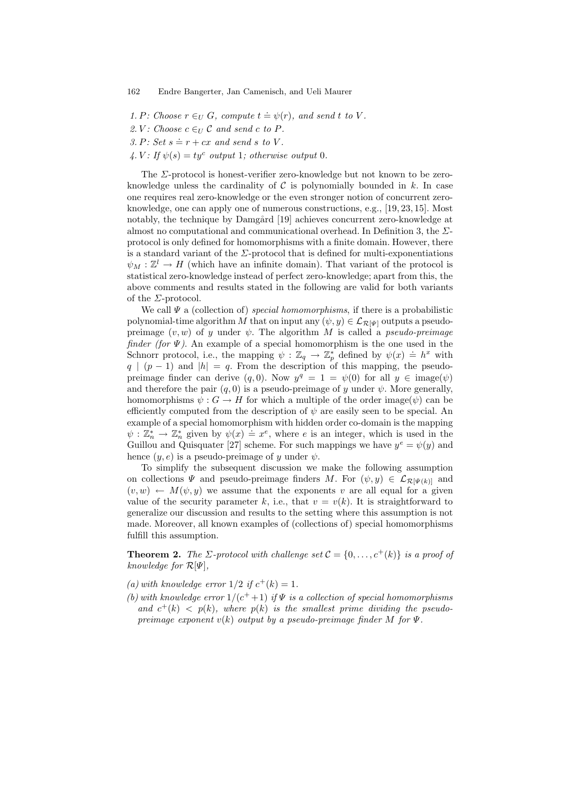- 1. P: Choose  $r \in_U G$ , compute  $t = \psi(r)$ , and send t to V.
- 2. V: Choose  $c \in U \mathcal{C}$  and send c to P.
- 3. P: Set  $s = r + cx$  and send s to V.
- 4. V: If  $\psi(s) = ty^c$  output 1; otherwise output 0.

The Σ-protocol is honest-verifier zero-knowledge but not known to be zeroknowledge unless the cardinality of  $C$  is polynomially bounded in  $k$ . In case one requires real zero-knowledge or the even stronger notion of concurrent zeroknowledge, one can apply one of numerous constructions, e.g., [19, 23, 15]. Most notably, the technique by Damgård [19] achieves concurrent zero-knowledge at almost no computational and communicational overhead. In Definition 3, the  $\Sigma$ protocol is only defined for homomorphisms with a finite domain. However, there is a standard variant of the  $\Sigma$ -protocol that is defined for multi-exponentiations  $\psi_M : \mathbb{Z}^l \to H$  (which have an infinite domain). That variant of the protocol is statistical zero-knowledge instead of perfect zero-knowledge; apart from this, the above comments and results stated in the following are valid for both variants of the  $\Sigma$ -protocol.

We call  $\Psi$  a (collection of) special homomorphisms, if there is a probabilistic polynomial-time algorithm M that on input any  $(\psi, y) \in \mathcal{L}_{\mathcal{R}[\Psi]}$  outputs a pseudopreimage  $(v, w)$  of y under  $\psi$ . The algorithm M is called a pseudo-preimage finder (for  $\Psi$ ). An example of a special homomorphism is the one used in the Schnorr protocol, i.e., the mapping  $\psi : \mathbb{Z}_q \to \mathbb{Z}_p^*$  defined by  $\psi(x) \doteq h^x$  with  $q \mid (p-1)$  and  $|h| = q$ . From the description of this mapping, the pseudopreimage finder can derive  $(q, 0)$ . Now  $y^q = 1 = \psi(0)$  for all  $y \in \text{image}(\psi)$ and therefore the pair  $(q, 0)$  is a pseudo-preimage of y under  $\psi$ . More generally, homomorphisms  $\psi$ :  $G \to H$  for which a multiple of the order image( $\psi$ ) can be efficiently computed from the description of  $\psi$  are easily seen to be special. An example of a special homomorphism with hidden order co-domain is the mapping  $\psi : \mathbb{Z}_n^* \to \mathbb{Z}_n^*$  given by  $\psi(x) \doteq x^e$ , where e is an integer, which is used in the Guillou and Quisquater [27] scheme. For such mappings we have  $y^e = \psi(y)$  and hence  $(y, e)$  is a pseudo-preimage of y under  $\psi$ .

To simplify the subsequent discussion we make the following assumption on collections  $\Psi$  and pseudo-preimage finders M. For  $(\psi, y) \in \mathcal{L}_{\mathcal{R}[\Psi(k)]}$  and  $(v, w) \leftarrow M(\psi, y)$  we assume that the exponents v are all equal for a given value of the security parameter k, i.e., that  $v = v(k)$ . It is straightforward to generalize our discussion and results to the setting where this assumption is not made. Moreover, all known examples of (collections of) special homomorphisms fulfill this assumption.

**Theorem 2.** The  $\Sigma$ -protocol with challenge set  $\mathcal{C} = \{0, \ldots, c^+(k)\}\$ is a proof of knowledge for  $\mathcal{R}[\Psi]$ ,

- (a) with knowledge error  $1/2$  if  $c^+(k) = 1$ .
- (b) with knowledge error  $1/(c^+ + 1)$  if  $\Psi$  is a collection of special homomorphisms and  $c^+(k) < p(k)$ , where  $p(k)$  is the smallest prime dividing the pseudopreimage exponent  $v(k)$  output by a pseudo-preimage finder M for  $\Psi$ .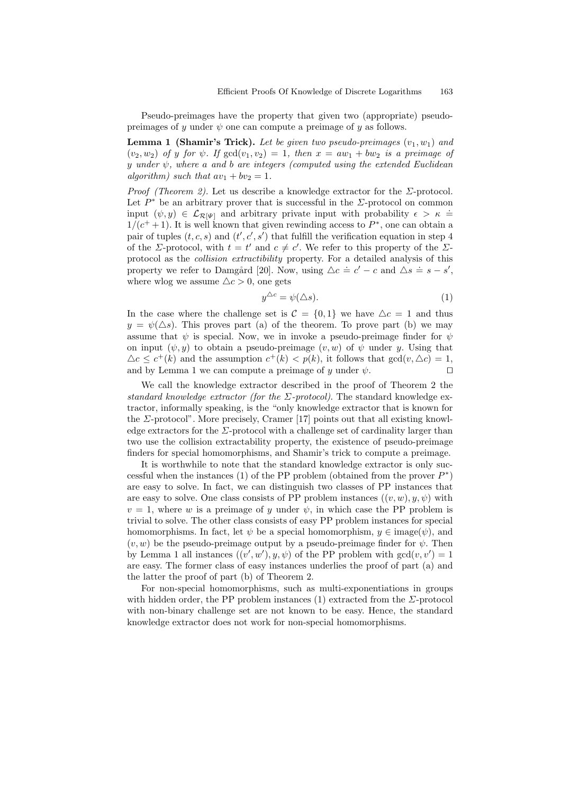Pseudo-preimages have the property that given two (appropriate) pseudopreimages of y under  $\psi$  one can compute a preimage of y as follows.

**Lemma 1 (Shamir's Trick).** Let be given two pseudo-preimages  $(v_1, w_1)$  and  $(v_2, w_2)$  of y for  $\psi$ . If  $gcd(v_1, v_2) = 1$ , then  $x = aw_1 + bw_2$  is a preimage of y under  $\psi$ , where a and b are integers (computed using the extended Euclidean algorithm) such that  $av_1 + bv_2 = 1$ .

*Proof (Theorem 2).* Let us describe a knowledge extractor for the  $\Sigma$ -protocol. Let  $P^*$  be an arbitrary prover that is successful in the  $\Sigma$ -protocol on common input  $(\psi, y) \in \mathcal{L}_{\mathcal{R}[\Psi]}$  and arbitrary private input with probability  $\epsilon > \kappa =$  $1/(c^+ + 1)$ . It is well known that given rewinding access to  $P^*$ , one can obtain a pair of tuples  $(t, c, s)$  and  $(t', c', s')$  that fulfill the verification equation in step 4 of the *Σ*-protocol, with  $t = t'$  and  $c \neq c'$ . We refer to this property of the *Σ*protocol as the collision extractibility property. For a detailed analysis of this property we refer to Damgård [20]. Now, using  $\Delta c \doteq c' - c$  and  $\Delta s \doteq s - s'$ , where wlog we assume  $\Delta c > 0$ , one gets

$$
y^{\Delta c} = \psi(\Delta s). \tag{1}
$$

In the case where the challenge set is  $C = \{0, 1\}$  we have  $\Delta c = 1$  and thus  $y = \psi(\Delta s)$ . This proves part (a) of the theorem. To prove part (b) we may assume that  $\psi$  is special. Now, we in invoke a pseudo-preimage finder for  $\psi$ on input  $(\psi, y)$  to obtain a pseudo-preimage  $(v, w)$  of  $\psi$  under y. Using that  $\Delta c \leq c^+(k)$  and the assumption  $c^+(k) < p(k)$ , it follows that  $gcd(v, \Delta c) = 1$ , and by Lemma 1 we can compute a preimage of y under  $\psi$ .

We call the knowledge extractor described in the proof of Theorem 2 the standard knowledge extractor (for the  $\Sigma$ -protocol). The standard knowledge extractor, informally speaking, is the "only knowledge extractor that is known for the  $\Sigma$ -protocol". More precisely, Cramer [17] points out that all existing knowledge extractors for the  $\Sigma$ -protocol with a challenge set of cardinality larger than two use the collision extractability property, the existence of pseudo-preimage finders for special homomorphisms, and Shamir's trick to compute a preimage.

It is worthwhile to note that the standard knowledge extractor is only successful when the instances (1) of the PP problem (obtained from the prover  $P^*$ ) are easy to solve. In fact, we can distinguish two classes of PP instances that are easy to solve. One class consists of PP problem instances  $((v, w), y, \psi)$  with  $v = 1$ , where w is a preimage of y under  $\psi$ , in which case the PP problem is trivial to solve. The other class consists of easy PP problem instances for special homomorphisms. In fact, let  $\psi$  be a special homomorphism,  $y \in \text{image}(\psi)$ , and  $(v, w)$  be the pseudo-preimage output by a pseudo-preimage finder for  $\psi$ . Then by Lemma 1 all instances  $((v', w'), y, \psi)$  of the PP problem with  $gcd(v, v') = 1$ are easy. The former class of easy instances underlies the proof of part (a) and the latter the proof of part (b) of Theorem 2.

For non-special homomorphisms, such as multi-exponentiations in groups with hidden order, the PP problem instances (1) extracted from the  $\Sigma$ -protocol with non-binary challenge set are not known to be easy. Hence, the standard knowledge extractor does not work for non-special homomorphisms.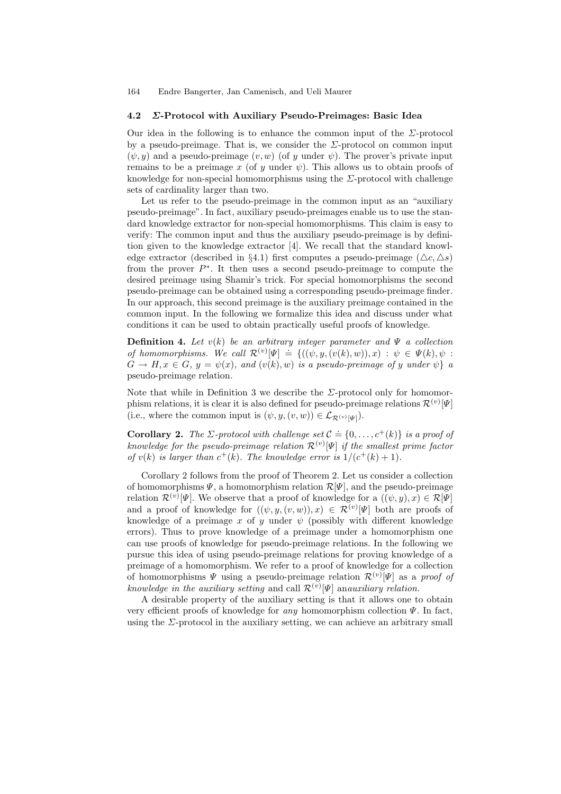#### 4.2 Σ-Protocol with Auxiliary Pseudo-Preimages: Basic Idea

Our idea in the following is to enhance the common input of the  $\Sigma$ -protocol by a pseudo-preimage. That is, we consider the  $\Sigma$ -protocol on common input  $(\psi, y)$  and a pseudo-preimage  $(v, w)$  (of y under  $\psi$ ). The prover's private input remains to be a preimage x (of y under  $\psi$ ). This allows us to obtain proofs of knowledge for non-special homomorphisms using the  $\Sigma$ -protocol with challenge sets of cardinality larger than two.

Let us refer to the pseudo-preimage in the common input as an "auxiliary pseudo-preimage". In fact, auxiliary pseudo-preimages enable us to use the standard knowledge extractor for non-special homomorphisms. This claim is easy to verify: The common input and thus the auxiliary pseudo-preimage is by definition given to the knowledge extractor [4]. We recall that the standard knowledge extractor (described in §4.1) first computes a pseudo-preimage ( $\Delta c, \Delta s$ ) from the prover  $P^*$ . It then uses a second pseudo-preimage to compute the desired preimage using Shamir's trick. For special homomorphisms the second pseudo-preimage can be obtained using a corresponding pseudo-preimage finder. In our approach, this second preimage is the auxiliary preimage contained in the common input. In the following we formalize this idea and discuss under what conditions it can be used to obtain practically useful proofs of knowledge.

**Definition 4.** Let  $v(k)$  be an arbitrary integer parameter and  $\Psi$  a collection **Definition 1:** Let  $c(w)$  be an aroundry margin parameter, and 1 a concentration of homomorphisms. We call  $\mathcal{R}^{(v)}[\Psi] \doteq \{((\psi, y, (v(k), w)), x) : \psi \in \Psi(k), \psi \}$  $G \to H, x \in G, y = \psi(x), \text{ and } (v(k), w) \text{ is a pseudo-preimage of } y \text{ under } \psi \}$  a pseudo-preimage relation.

Note that while in Definition 3 we describe the  $\Sigma$ -protocol only for homomorphism relations, it is clear it is also defined for pseudo-preimage relations  $\mathcal{R}^{(v)}[\Psi]$ (i.e., where the common input is  $(\psi, y, (v, w)) \in \mathcal{L}_{\mathcal{R}^{(v)}[\Psi]}$ ).

**Corollary 2.** The  $\Sigma$ -protocol with challenge set  $\mathcal{C} \doteq \{0, \ldots, c^{+}(k)\}\$ is a proof of knowledge for the pseudo-preimage relation  $\mathcal{R}^{(v)}[\Psi]$  if the smallest prime factor of  $v(k)$  is larger than  $c^+(k)$ . The knowledge error is  $1/(c^+(k)+1)$ .

Corollary 2 follows from the proof of Theorem 2. Let us consider a collection of homomorphisms  $\Psi$ , a homomorphism relation  $\mathcal{R}[\Psi]$ , and the pseudo-preimage relation  $\mathcal{R}^{(v)}[\Psi]$ . We observe that a proof of knowledge for a  $((\psi, y), x) \in \mathcal{R}[\Psi]$ and a proof of knowledge for  $((\psi, y, (v, w)), x) \in \mathcal{R}^{(v)}[\Psi]$  both are proofs of knowledge of a preimage x of y under  $\psi$  (possibly with different knowledge errors). Thus to prove knowledge of a preimage under a homomorphism one can use proofs of knowledge for pseudo-preimage relations. In the following we pursue this idea of using pseudo-preimage relations for proving knowledge of a preimage of a homomorphism. We refer to a proof of knowledge for a collection of homomorphisms  $\Psi$  using a pseudo-preimage relation  $\mathcal{R}^{(v)}[\Psi]$  as a proof of knowledge in the auxiliary setting and call  $\mathcal{R}^{(v)}[\Psi]$  anauxiliary relation.

A desirable property of the auxiliary setting is that it allows one to obtain very efficient proofs of knowledge for *any* homomorphism collection  $\Psi$ . In fact, using the  $\Sigma$ -protocol in the auxiliary setting, we can achieve an arbitrary small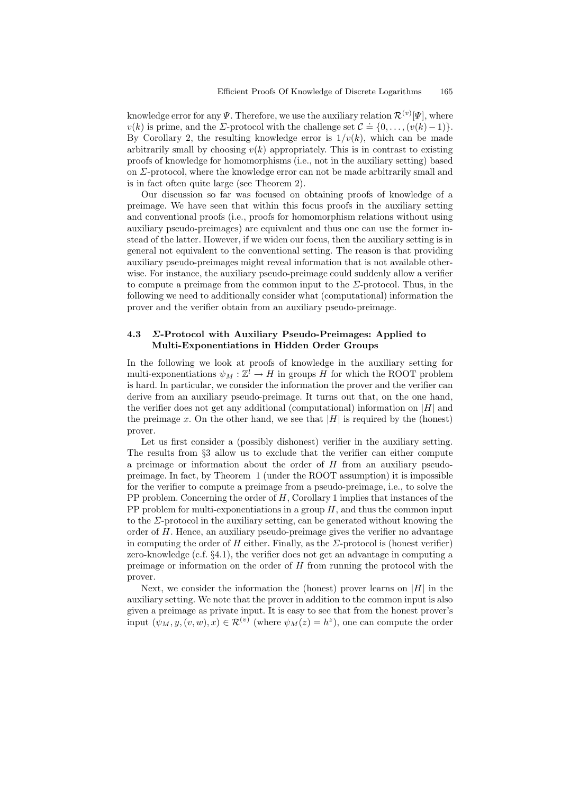knowledge error for any  $\varPsi$  . Therefore, we use the auxiliary relation  $\mathcal{R}^{(v)}[\varPsi],$  where whole expect of order to the set  $v(k)$  is prime, and the  $\Sigma$ -protocol with the challenge set  $C = \{0, \ldots, (v(k) - 1)\}\$ . By Corollary 2, the resulting knowledge error is  $1/v(k)$ , which can be made arbitrarily small by choosing  $v(k)$  appropriately. This is in contrast to existing proofs of knowledge for homomorphisms (i.e., not in the auxiliary setting) based on  $\Sigma$ -protocol, where the knowledge error can not be made arbitrarily small and is in fact often quite large (see Theorem 2).

Our discussion so far was focused on obtaining proofs of knowledge of a preimage. We have seen that within this focus proofs in the auxiliary setting and conventional proofs (i.e., proofs for homomorphism relations without using auxiliary pseudo-preimages) are equivalent and thus one can use the former instead of the latter. However, if we widen our focus, then the auxiliary setting is in general not equivalent to the conventional setting. The reason is that providing auxiliary pseudo-preimages might reveal information that is not available otherwise. For instance, the auxiliary pseudo-preimage could suddenly allow a verifier to compute a preimage from the common input to the  $\Sigma$ -protocol. Thus, in the following we need to additionally consider what (computational) information the prover and the verifier obtain from an auxiliary pseudo-preimage.

# 4.3 Σ-Protocol with Auxiliary Pseudo-Preimages: Applied to Multi-Exponentiations in Hidden Order Groups

In the following we look at proofs of knowledge in the auxiliary setting for multi-exponentiations  $\psi_M : \mathbb{Z}^l \to H$  in groups H for which the ROOT problem is hard. In particular, we consider the information the prover and the verifier can derive from an auxiliary pseudo-preimage. It turns out that, on the one hand, the verifier does not get any additional (computational) information on  $|H|$  and the preimage x. On the other hand, we see that  $|H|$  is required by the (honest) prover.

Let us first consider a (possibly dishonest) verifier in the auxiliary setting. The results from §3 allow us to exclude that the verifier can either compute a preimage or information about the order of H from an auxiliary pseudopreimage. In fact, by Theorem 1 (under the ROOT assumption) it is impossible for the verifier to compute a preimage from a pseudo-preimage, i.e., to solve the PP problem. Concerning the order of  $H$ , Corollary 1 implies that instances of the PP problem for multi-exponentiations in a group  $H$ , and thus the common input to the  $\Sigma$ -protocol in the auxiliary setting, can be generated without knowing the order of  $H$ . Hence, an auxiliary pseudo-preimage gives the verifier no advantage in computing the order of H either. Finally, as the  $\Sigma$ -protocol is (honest verifier) zero-knowledge (c.f. §4.1), the verifier does not get an advantage in computing a preimage or information on the order of  $H$  from running the protocol with the prover.

Next, we consider the information the (honest) prover learns on  $|H|$  in the auxiliary setting. We note that the prover in addition to the common input is also given a preimage as private input. It is easy to see that from the honest prover's input  $(\psi_M, y, (v, w), x) \in \mathcal{R}^{(v)}$  (where  $\psi_M(z) = h^z$ ), one can compute the order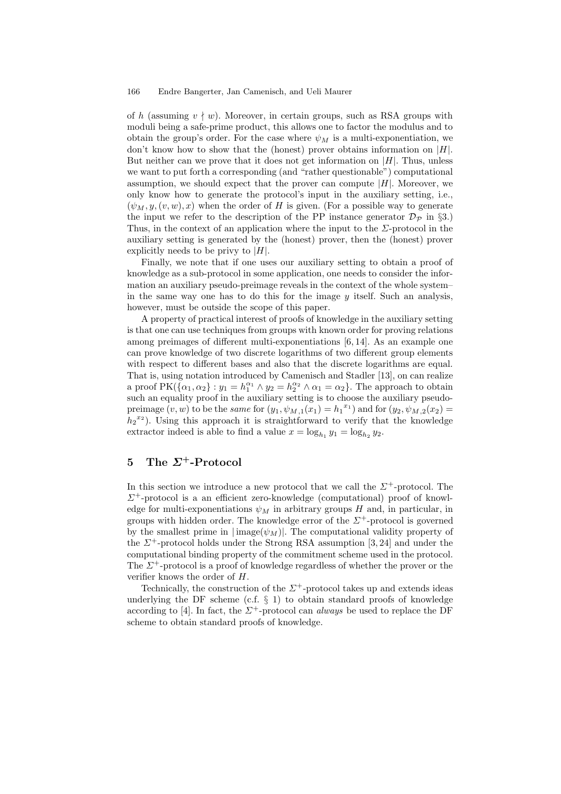of h (assuming  $v \nmid w$ ). Moreover, in certain groups, such as RSA groups with moduli being a safe-prime product, this allows one to factor the modulus and to obtain the group's order. For the case where  $\psi_M$  is a multi-exponentiation, we don't know how to show that the (honest) prover obtains information on  $|H|$ . But neither can we prove that it does not get information on  $|H|$ . Thus, unless we want to put forth a corresponding (and "rather questionable") computational assumption, we should expect that the prover can compute  $|H|$ . Moreover, we only know how to generate the protocol's input in the auxiliary setting, i.e.,  $(\psi_M, y, (v, w), x)$  when the order of H is given. (For a possible way to generate the input we refer to the description of the PP instance generator  $\mathcal{D}_{\mathcal{P}}$  in §3.) Thus, in the context of an application where the input to the  $\Sigma$ -protocol in the auxiliary setting is generated by the (honest) prover, then the (honest) prover explicitly needs to be privy to  $|H|$ .

Finally, we note that if one uses our auxiliary setting to obtain a proof of knowledge as a sub-protocol in some application, one needs to consider the information an auxiliary pseudo-preimage reveals in the context of the whole system– in the same way one has to do this for the image  $\psi$  itself. Such an analysis, however, must be outside the scope of this paper.

A property of practical interest of proofs of knowledge in the auxiliary setting is that one can use techniques from groups with known order for proving relations among preimages of different multi-exponentiations [6, 14]. As an example one can prove knowledge of two discrete logarithms of two different group elements with respect to different bases and also that the discrete logarithms are equal. That is, using notation introduced by Camenisch and Stadler [13], on can realize a proof  $PK(\{\alpha_1, \alpha_2\} : y_1 = h_1^{\alpha_1} \wedge y_2 = h_2^{\alpha_2} \wedge \alpha_1 = \alpha_2\}$ . The approach to obtain such an equality proof in the auxiliary setting is to choose the auxiliary pseudopreimage  $(v, w)$  to be the *same* for  $(y_1, \psi_{M,1}(x_1) = h_1^{x_1})$  and for  $(y_2, \psi_{M,2}(x_2) =$  $h_2^{\{x_2\}}$ . Using this approach it is straightforward to verify that the knowledge extractor indeed is able to find a value  $x = \log_{h_1} y_1 = \log_{h_2} y_2$ .

# 5 The  $\Sigma^+$ -Protocol

In this section we introduce a new protocol that we call the  $\Sigma^+$ -protocol. The  $\Sigma^+$ -protocol is a an efficient zero-knowledge (computational) proof of knowledge for multi-exponentiations  $\psi_M$  in arbitrary groups H and, in particular, in groups with hidden order. The knowledge error of the  $\Sigma^+$ -protocol is governed by the smallest prime in  $|\text{image}(\psi_M)|$ . The computational validity property of the  $\Sigma^+$ -protocol holds under the Strong RSA assumption [3, 24] and under the computational binding property of the commitment scheme used in the protocol. The  $\Sigma^+$ -protocol is a proof of knowledge regardless of whether the prover or the verifier knows the order of H.

Technically, the construction of the  $\Sigma^+$ -protocol takes up and extends ideas underlying the DF scheme  $(c.f. \S 1)$  to obtain standard proofs of knowledge according to [4]. In fact, the  $\Sigma^+$ -protocol can *always* be used to replace the DF scheme to obtain standard proofs of knowledge.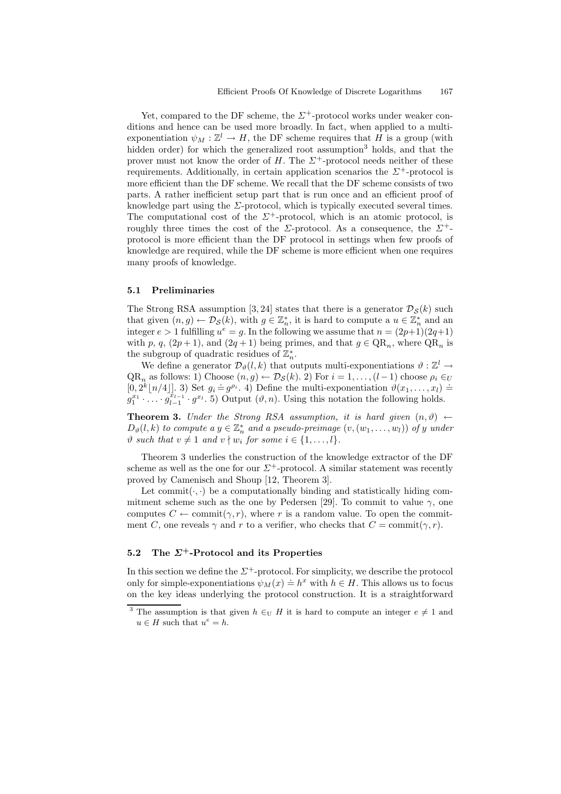Yet, compared to the DF scheme, the  $\Sigma^+$ -protocol works under weaker conditions and hence can be used more broadly. In fact, when applied to a multiexponentiation  $\psi_M : \mathbb{Z}^l \to H$ , the DF scheme requires that H is a group (with hidden order) for which the generalized root assumption<sup>3</sup> holds, and that the prover must not know the order of H. The  $\Sigma^+$ -protocol needs neither of these requirements. Additionally, in certain application scenarios the  $\Sigma^+$ -protocol is more efficient than the DF scheme. We recall that the DF scheme consists of two parts. A rather inefficient setup part that is run once and an efficient proof of knowledge part using the  $\Sigma$ -protocol, which is typically executed several times. The computational cost of the  $\Sigma^+$ -protocol, which is an atomic protocol, is roughly three times the cost of the  $\Sigma$ -protocol. As a consequence, the  $\Sigma^+$ protocol is more efficient than the DF protocol in settings when few proofs of knowledge are required, while the DF scheme is more efficient when one requires many proofs of knowledge.

#### 5.1 Preliminaries

The Strong RSA assumption [3, 24] states that there is a generator  $\mathcal{D}_S(k)$  such that given  $(n, g) \leftarrow \mathcal{D}_{\mathcal{S}}(k)$ , with  $g \in \mathbb{Z}_n^*$ , it is hard to compute a  $u \in \mathbb{Z}_n^*$  and an integer  $e > 1$  fulfilling  $u^e = g$ . In the following we assume that  $n = (2p+1)(2q+1)$ with p, q,  $(2p+1)$ , and  $(2q+1)$  being primes, and that  $g \in QR_n$ , where  $QR_n$  is the subgroup of quadratic residues of  $\mathbb{Z}_n^*$ .

We define a generator  $\mathcal{D}_{\vartheta}(l,k)$  that outputs multi-exponentiations  $\vartheta : \mathbb{Z}^l \to$  $QR_n$  as follows: 1) Choose  $(n, g) \leftarrow \mathcal{D}_{\mathcal{S}}(k)$ . 2) For  $i = 1, \ldots, (l-1)$  choose  $\rho_i \in U$  $[0, 2^k \lfloor n/4 \rfloor]$ . 3) Set  $g_i = g^{\rho_i}$ . 4) Define the multi-exponentiation  $\vartheta(x_1, \ldots, x_l) =$  $g_1^{x_1} \cdot \ldots \cdot \hat{g}_{l-1}^{x_{l-1}} \cdot g^{x_l}$ . 5) Output  $(\vartheta, n)$ . Using this notation the following holds.

**Theorem 3.** Under the Strong RSA assumption, it is hard given  $(n, \vartheta)$   $\leftarrow$  $D_{\vartheta}(l,k)$  to compute a  $y \in \mathbb{Z}_n^*$  and a pseudo-preimage  $(v,(w_1,\ldots,w_l))$  of y under  $\vartheta$  such that  $v \neq 1$  and  $v \nmid w_i$  for some  $i \in \{1, \ldots, l\}.$ 

Theorem 3 underlies the construction of the knowledge extractor of the DF scheme as well as the one for our  $\Sigma^+$ -protocol. A similar statement was recently proved by Camenisch and Shoup [12, Theorem 3].

Let commit  $(\cdot, \cdot)$  be a computationally binding and statistically hiding commitment scheme such as the one by Pedersen [29]. To commit to value  $\gamma$ , one computes  $C \leftarrow \text{commit}(\gamma, r)$ , where r is a random value. To open the commitment C, one reveals  $\gamma$  and r to a verifier, who checks that  $C = \text{commit}(\gamma, r)$ .

### 5.2 The  $\Sigma^+$ -Protocol and its Properties

In this section we define the  $\Sigma^+$ -protocol. For simplicity, we describe the protocol only for simple-exponentiations  $\psi_M(x) \doteq h^x$  with  $h \in H$ . This allows us to focus on the key ideas underlying the protocol construction. It is a straightforward

<sup>&</sup>lt;sup>3</sup> The assumption is that given  $h \in U$  H it is hard to compute an integer  $e \neq 1$  and  $u \in H$  such that  $u^e = h$ .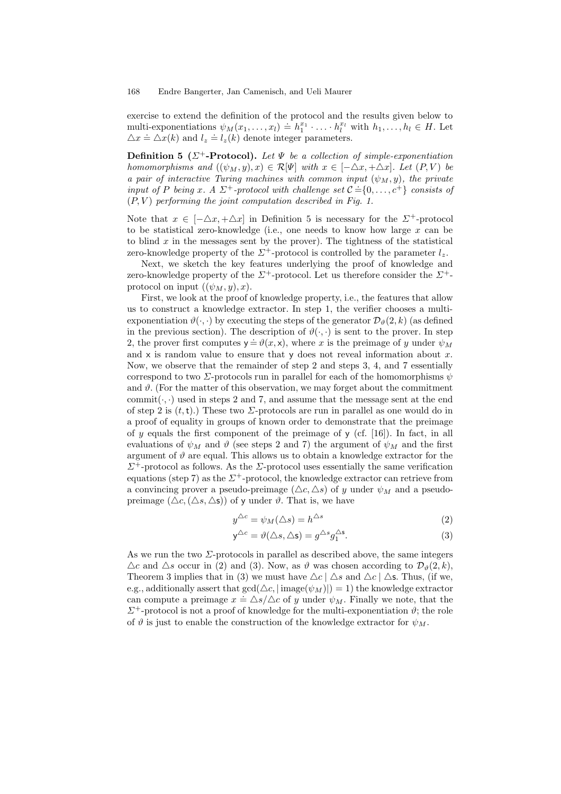exercise to extend the definition of the protocol and the results given below to multi-exponentiations  $\psi_M(x_1, \ldots, x_l) \doteq h_1^{x_1} \cdot \ldots \cdot h_l^{x_l}$  with  $h_1, \ldots, h_l \in H$ . Let  $\Delta x \doteq \Delta x(k)$  and  $l_z \doteq l_z(k)$  denote integer parameters.

**Definition 5** ( $\Sigma^+$ -Protocol). Let  $\Psi$  be a collection of simple-exponentiation homomorphisms and  $((\psi_M, y), x) \in \mathcal{R}[\Psi]$  with  $x \in [-\Delta x, +\Delta x]$ . Let  $(P, V)$  be a pair of interactive Turing machines with common input  $(\psi_M, y)$ , the private input of P being x. A  $\Sigma^+$ -protocol with challenge set  $C = \{0, \ldots, c^+\}$  consists of  $(P, V)$  performing the joint computation described in Fig. 1.

Note that  $x \in [-\Delta x, +\Delta x]$  in Definition 5 is necessary for the  $\Sigma^+$ -protocol to be statistical zero-knowledge (i.e., one needs to know how large  $x$  can be to blind  $x$  in the messages sent by the prover). The tightness of the statistical zero-knowledge property of the  $\Sigma^+$ -protocol is controlled by the parameter  $l_z$ .

Next, we sketch the key features underlying the proof of knowledge and zero-knowledge property of the  $\Sigma^+$ -protocol. Let us therefore consider the  $\Sigma^+$ protocol on input  $((\psi_M, y), x)$ .

First, we look at the proof of knowledge property, i.e., the features that allow us to construct a knowledge extractor. In step 1, the verifier chooses a multiexponentiation  $\vartheta(\cdot, \cdot)$  by executing the steps of the generator  $\mathcal{D}_{\vartheta}(2, k)$  (as defined in the previous section). The description of  $\vartheta(\cdot, \cdot)$  is sent to the prover. In step 2, the prover first computes  $y = \vartheta(x, x)$ , where x is the preimage of y under  $\psi_M$ and  $x$  is random value to ensure that  $y$  does not reveal information about x. Now, we observe that the remainder of step 2 and steps 3, 4, and 7 essentially correspond to two  $\Sigma$ -protocols run in parallel for each of the homomorphisms  $\psi$ and  $\vartheta$ . (For the matter of this observation, we may forget about the commitment commit( $\cdot$ , $\cdot$ ) used in steps 2 and 7, and assume that the message sent at the end of step 2 is  $(t, t)$ .) These two *Σ*-protocols are run in parallel as one would do in a proof of equality in groups of known order to demonstrate that the preimage of y equals the first component of the preimage of  $\gamma$  (cf. [16]). In fact, in all evaluations of  $\psi_M$  and  $\vartheta$  (see steps 2 and 7) the argument of  $\psi_M$  and the first argument of  $\vartheta$  are equal. This allows us to obtain a knowledge extractor for the  $\Sigma^+$ -protocol as follows. As the  $\Sigma$ -protocol uses essentially the same verification equations (step 7) as the  $\Sigma^+$ -protocol, the knowledge extractor can retrieve from a convincing prover a pseudo-preimage  $(\triangle c, \triangle s)$  of y under  $\psi_M$  and a pseudopreimage  $(\triangle c, (\triangle s, \triangle s))$  of y under  $\vartheta$ . That is, we have

$$
y^{\triangle c} = \psi_M(\triangle s) = h^{\triangle s} \tag{2}
$$

$$
\mathsf{y}^{\triangle c} = \vartheta(\triangle s, \triangle \mathsf{s}) = g^{\triangle s} g_1^{\triangle \mathsf{s}}.
$$
\n(3)

As we run the two  $\Sigma$ -protocols in parallel as described above, the same integers  $\Delta c$  and  $\Delta s$  occur in (2) and (3). Now, as  $\vartheta$  was chosen according to  $\mathcal{D}_{\vartheta}(2,k)$ , Theorem 3 implies that in (3) we must have  $\Delta c | \Delta s$  and  $\Delta c | \Delta s$ . Thus, (if we, e.g., additionally assert that  $gcd(\Delta c, | \text{image}(\psi_M) |)=1$ ) the knowledge extractor can compute a preimage  $x = \Delta s / \Delta c$  of y under  $\psi_M$ . Finally we note, that the  $\Sigma^+$ -protocol is not a proof of knowledge for the multi-exponentiation  $\vartheta$ ; the role of  $\vartheta$  is just to enable the construction of the knowledge extractor for  $\psi_M$ .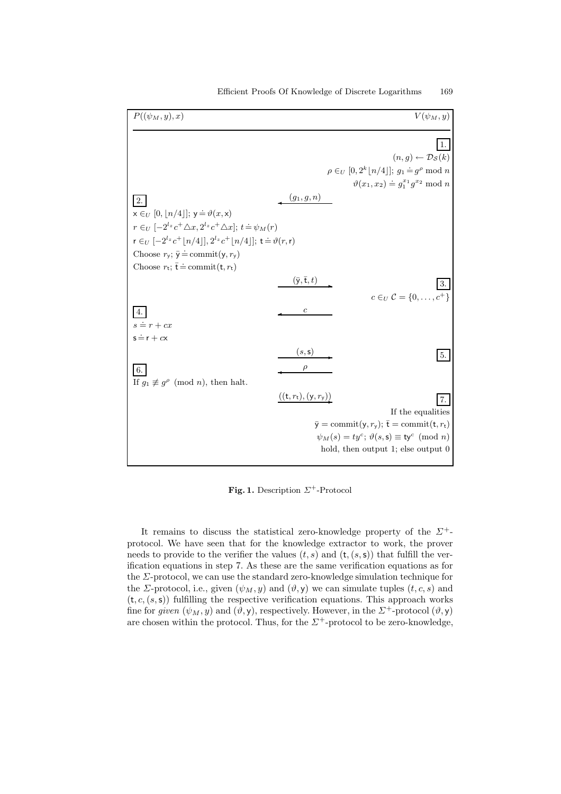| $P((\psi_M, y), x)$                                                                           |                                         | $V(\psi_M, y)$                                                       |
|-----------------------------------------------------------------------------------------------|-----------------------------------------|----------------------------------------------------------------------|
|                                                                                               |                                         | $(n,q) \leftarrow \mathcal{D}_{\mathcal{S}}(k)$                      |
|                                                                                               |                                         | $\rho \in_U [0, 2^k  n/4 ]; g_1 \doteq g^{\rho} \bmod n$             |
|                                                                                               |                                         | $\vartheta(x_1, x_2) \doteq q_1^{x_1} q^{x_2} \bmod n$               |
| 2.                                                                                            | $(g_1, g, n)$                           |                                                                      |
| $x \in U$ [0,  n/4 ]; $y = \vartheta(x,x)$                                                    |                                         |                                                                      |
| $r \in_{U} [-2^{l_z} c^+ \triangle x, 2^{l_z} c^+ \triangle x]; t \doteq \psi_M(r)$           |                                         |                                                                      |
| $r \in U$ $[-2^{l_z} c^+  n/4 ], 2^{l_z} c^+  n/4 ]; t \stackrel{\text{.}}{=} \vartheta(r,r)$ |                                         |                                                                      |
| Choose $r_y$ ; $\bar{y} \doteq$ commit(y, $r_y$ )                                             |                                         |                                                                      |
| Choose $r_t$ ; $\overline{t} \doteq$ commit $(t, r_t)$                                        |                                         |                                                                      |
|                                                                                               | $(\bar{\mathsf{y}},\bar{\mathsf{t}},t)$ |                                                                      |
|                                                                                               |                                         | $c \in U \mathcal{C} = \{0, \ldots, c^+\}$                           |
| 4.                                                                                            | $\boldsymbol{c}$                        |                                                                      |
| $s = r + cx$                                                                                  |                                         |                                                                      |
| $s = r + cx$                                                                                  |                                         |                                                                      |
|                                                                                               | (s, s)                                  | 5.                                                                   |
| 6.                                                                                            |                                         |                                                                      |
| If $g_1 \not\equiv g^{\rho} \pmod{n}$ , then halt.                                            |                                         |                                                                      |
|                                                                                               | $((t, r_t), (y, r_y))$                  | 7.                                                                   |
|                                                                                               |                                         | If the equalities                                                    |
|                                                                                               |                                         | $\bar{y} = \text{commit}(y, r_y); \ \bar{t} = \text{commit}(t, r_t)$ |
|                                                                                               |                                         | $\psi_M(s) = ty^c$ ; $\vartheta(s, s) \equiv ty^c \pmod{n}$          |
|                                                                                               |                                         | hold, then output 1; else output 0                                   |
|                                                                                               |                                         |                                                                      |

Fig. 1. Description  $\Sigma^+$ -Protocol

It remains to discuss the statistical zero-knowledge property of the  $\Sigma^+$ protocol. We have seen that for the knowledge extractor to work, the prover needs to provide to the verifier the values  $(t, s)$  and  $(t, (s, s))$  that fulfill the verification equations in step 7. As these are the same verification equations as for the Σ-protocol, we can use the standard zero-knowledge simulation technique for the *Σ*-protocol, i.e., given  $(\psi_M, y)$  and  $(\vartheta, y)$  we can simulate tuples  $(t, c, s)$  and  $(t, c, (s, s))$  fulfilling the respective verification equations. This approach works fine for given  $(\psi_M, y)$  and  $(\vartheta, y)$ , respectively. However, in the  $\Sigma^+$ -protocol  $(\vartheta, y)$ are chosen within the protocol. Thus, for the  $\Sigma^+$ -protocol to be zero-knowledge,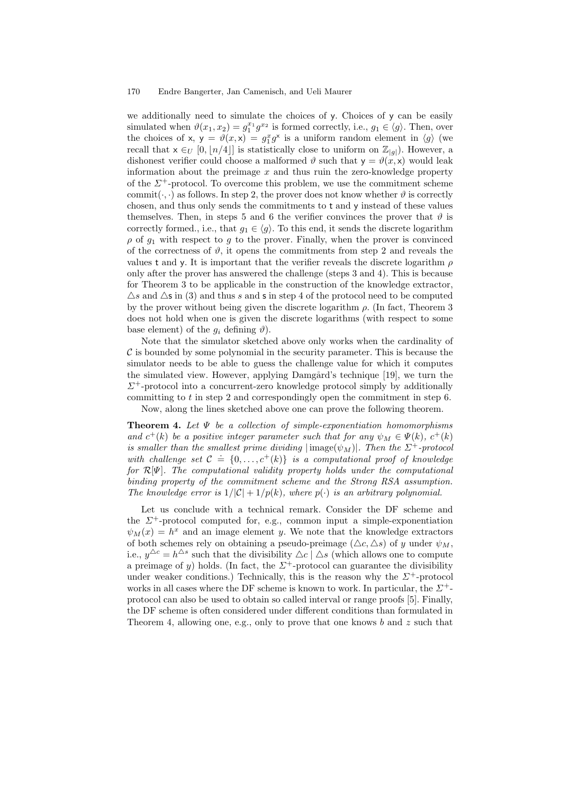we additionally need to simulate the choices of y. Choices of y can be easily simulated when  $\vartheta(x_1, x_2) = g_1^{x_1} g^{x_2}$  is formed correctly, i.e.,  $g_1 \in \langle g \rangle$ . Then, over the choices of x,  $y = \vartheta(x, x) = g_1^x g^x$  is a uniform random element in  $\langle g \rangle$  (we recall that  $x \in U$  [0, |n/4|] is statistically close to uniform on  $\mathbb{Z}_{|g|}$ ). However, a dishonest verifier could choose a malformed  $\vartheta$  such that  $y = \vartheta(x, x)$  would leak information about the preimage  $x$  and thus ruin the zero-knowledge property of the  $\Sigma^+$ -protocol. To overcome this problem, we use the commitment scheme commit( $\cdot$ , $\cdot$ ) as follows. In step 2, the prover does not know whether  $\vartheta$  is correctly chosen, and thus only sends the commitments to t and y instead of these values themselves. Then, in steps 5 and 6 the verifier convinces the prover that  $\vartheta$  is correctly formed., i.e., that  $g_1 \in \langle g \rangle$ . To this end, it sends the discrete logarithm  $\rho$  of  $g_1$  with respect to g to the prover. Finally, when the prover is convinced of the correctness of  $\vartheta$ , it opens the commitments from step 2 and reveals the values t and y. It is important that the verifier reveals the discrete logarithm  $\rho$ only after the prover has answered the challenge (steps 3 and 4). This is because for Theorem 3 to be applicable in the construction of the knowledge extractor,  $\Delta s$  and  $\Delta s$  in (3) and thus s and s in step 4 of the protocol need to be computed by the prover without being given the discrete logarithm  $\rho$ . (In fact, Theorem 3) does not hold when one is given the discrete logarithms (with respect to some base element) of the  $q_i$  defining  $\vartheta$ ).

Note that the simulator sketched above only works when the cardinality of  $\mathcal C$  is bounded by some polynomial in the security parameter. This is because the simulator needs to be able to guess the challenge value for which it computes the simulated view. However, applying Damgård's technique [19], we turn the  $\Sigma^+$ -protocol into a concurrent-zero knowledge protocol simply by additionally committing to  $t$  in step 2 and correspondingly open the commitment in step  $6$ . Now, along the lines sketched above one can prove the following theorem.

**Theorem 4.** Let  $\Psi$  be a collection of simple-exponentiation homomorphisms and  $c^+(k)$  be a positive integer parameter such that for any  $\psi_M \in \Psi(k)$ ,  $c^+(k)$ is smaller than the smallest prime dividing  $|\text{image}(\psi_M)|$ . Then the  $\Sigma^+$ -protocol with challenge set  $C = \{0, \ldots, c^{+}(k)\}$  is a computational proof of knowledge for  $\mathcal{R}[\Psi]$ . The computational validity property holds under the computational binding property of the commitment scheme and the Strong RSA assumption. The knowledge error is  $1/|\mathcal{C}| + 1/p(k)$ , where  $p(\cdot)$  is an arbitrary polynomial.

Let us conclude with a technical remark. Consider the DF scheme and the  $\Sigma^+$ -protocol computed for, e.g., common input a simple-exponentiation  $\psi_M(x) = h^x$  and an image element y. We note that the knowledge extractors of both schemes rely on obtaining a pseudo-preimage  $(\triangle c, \triangle s)$  of y under  $\psi_M$ , i.e.,  $y^{\Delta c} = h^{\Delta s}$  such that the divisibility  $\Delta c \mid \Delta s$  (which allows one to compute a preimage of y) holds. (In fact, the  $\Sigma^+$ -protocol can guarantee the divisibility under weaker conditions.) Technically, this is the reason why the  $\Sigma^+$ -protocol works in all cases where the DF scheme is known to work. In particular, the  $\Sigma^+$ protocol can also be used to obtain so called interval or range proofs [5]. Finally, the DF scheme is often considered under different conditions than formulated in Theorem 4, allowing one, e.g., only to prove that one knows b and z such that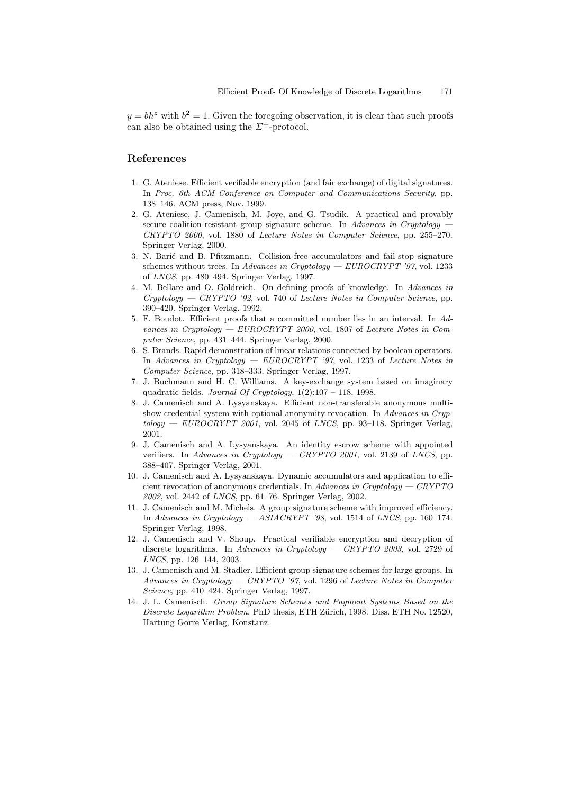$y = bh^z$  with  $b^2 = 1$ . Given the foregoing observation, it is clear that such proofs can also be obtained using the  $\Sigma^+$ -protocol.

# References

- 1. G. Ateniese. Efficient verifiable encryption (and fair exchange) of digital signatures. In Proc. 6th ACM Conference on Computer and Communications Security, pp. 138–146. ACM press, Nov. 1999.
- 2. G. Ateniese, J. Camenisch, M. Joye, and G. Tsudik. A practical and provably secure coalition-resistant group signature scheme. In Advances in Cryptology CRYPTO 2000, vol. 1880 of Lecture Notes in Computer Science, pp. 255–270. Springer Verlag, 2000.
- 3. N. Bari´c and B. Pfitzmann. Collision-free accumulators and fail-stop signature schemes without trees. In Advances in Cryptology —  $EUROCRYPT'$  '97, vol. 1233 of LNCS, pp. 480–494. Springer Verlag, 1997.
- 4. M. Bellare and O. Goldreich. On defining proofs of knowledge. In Advances in  $Cryptology - CRYPTO'$  92, vol. 740 of Lecture Notes in Computer Science, pp. 390–420. Springer-Verlag, 1992.
- 5. F. Boudot. Efficient proofs that a committed number lies in an interval. In Advances in Cryptology — EUROCRYPT 2000, vol. 1807 of Lecture Notes in Computer Science, pp. 431–444. Springer Verlag, 2000.
- 6. S. Brands. Rapid demonstration of linear relations connected by boolean operators. In Advances in Cryptology — EUROCRYPT '97, vol. 1233 of Lecture Notes in Computer Science, pp. 318–333. Springer Verlag, 1997.
- 7. J. Buchmann and H. C. Williams. A key-exchange system based on imaginary quadratic fields. Journal Of Cryptology,  $1(2):107 - 118$ , 1998.
- 8. J. Camenisch and A. Lysyanskaya. Efficient non-transferable anonymous multishow credential system with optional anonymity revocation. In Advances in Cryp $tology - EUROCRYPT 2001$ , vol. 2045 of *LNCS*, pp. 93–118. Springer Verlag, 2001.
- 9. J. Camenisch and A. Lysyanskaya. An identity escrow scheme with appointed verifiers. In Advances in Cryptology — CRYPTO 2001, vol. 2139 of LNCS, pp. 388–407. Springer Verlag, 2001.
- 10. J. Camenisch and A. Lysyanskaya. Dynamic accumulators and application to efficient revocation of anonymous credentials. In Advances in Cryptology  $-$  CRYPTO 2002, vol. 2442 of LNCS, pp. 61–76. Springer Verlag, 2002.
- 11. J. Camenisch and M. Michels. A group signature scheme with improved efficiency. In Advances in Cryptology — ASIACRYPT '98, vol. 1514 of LNCS, pp. 160–174. Springer Verlag, 1998.
- 12. J. Camenisch and V. Shoup. Practical verifiable encryption and decryption of discrete logarithms. In Advances in Cryptology — CRYPTO 2003, vol. 2729 of LNCS, pp. 126–144, 2003.
- 13. J. Camenisch and M. Stadler. Efficient group signature schemes for large groups. In Advances in Cryptology — CRYPTO '97, vol. 1296 of Lecture Notes in Computer Science, pp. 410–424. Springer Verlag, 1997.
- 14. J. L. Camenisch. Group Signature Schemes and Payment Systems Based on the Discrete Logarithm Problem. PhD thesis, ETH Zürich, 1998. Diss. ETH No. 12520, Hartung Gorre Verlag, Konstanz.